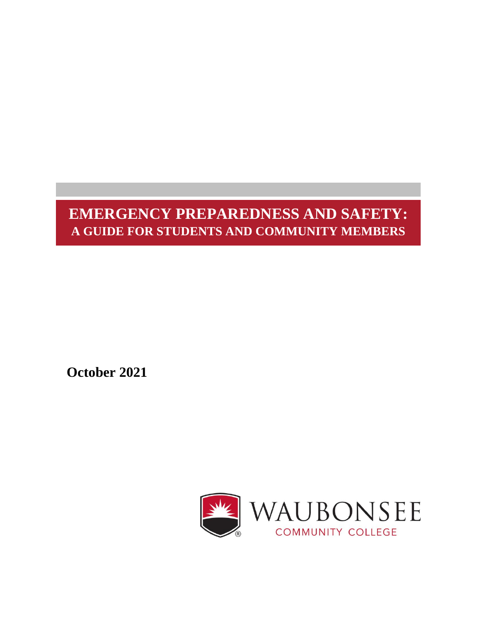# **EMERGENCY PREPAREDNESS AND SAFETY: A GUIDE FOR STUDENTS AND COMMUNITY MEMBERS**

 **October 2021**

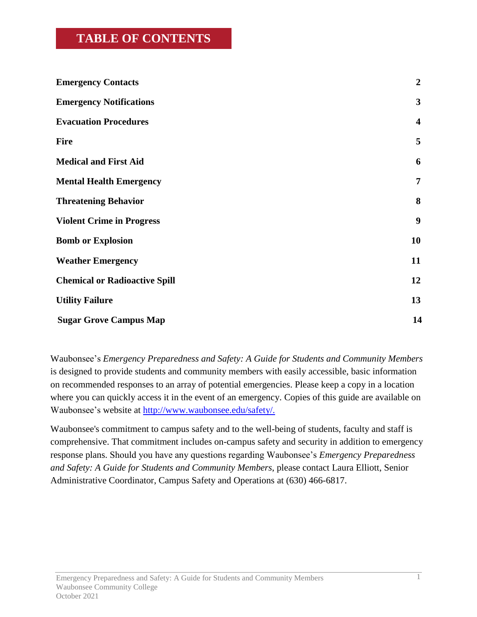## **TABLE OF CONTENTS**

| <b>Emergency Contacts</b>            | $\overline{2}$          |
|--------------------------------------|-------------------------|
| <b>Emergency Notifications</b>       | 3                       |
| <b>Evacuation Procedures</b>         | $\overline{\mathbf{4}}$ |
| <b>Fire</b>                          | 5                       |
| <b>Medical and First Aid</b>         | 6                       |
| <b>Mental Health Emergency</b>       | 7                       |
| <b>Threatening Behavior</b>          | 8                       |
| <b>Violent Crime in Progress</b>     | 9                       |
| <b>Bomb or Explosion</b>             | 10                      |
| <b>Weather Emergency</b>             | 11                      |
| <b>Chemical or Radioactive Spill</b> | 12                      |
| <b>Utility Failure</b>               | 13                      |
| <b>Sugar Grove Campus Map</b>        | 14                      |

Waubonsee's *Emergency Preparedness and Safety: A Guide for Students and Community Members* is designed to provide students and community members with easily accessible, basic information on recommended responses to an array of potential emergencies. Please keep a copy in a location where you can quickly access it in the event of an emergency. Copies of this guide are available on Waubonsee's website at [http://www.waubonsee.edu/safety/.](http://www.waubonsee.edu/safety/)

Waubonsee's commitment to campus safety and to the well-being of students, faculty and staff is comprehensive. That commitment includes on-campus safety and security in addition to emergency response plans. Should you have any questions regarding Waubonsee's *Emergency Preparedness and Safety: A Guide for Students and Community Members*, please contact Laura Elliott, Senior Administrative Coordinator, Campus Safety and Operations at (630) 466-6817.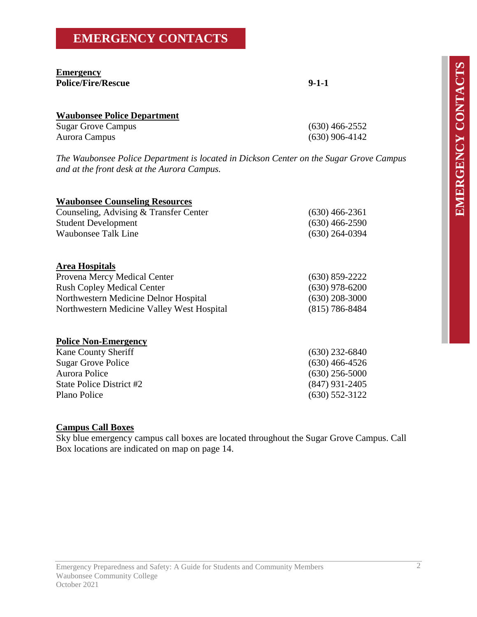# **EMERGENCY CONTACTS**

#### **Emergency Police/Fire/Rescue 9-1-1**

| <b>Waubonsee Police Department</b> |                  |
|------------------------------------|------------------|
| <b>Sugar Grove Campus</b>          | $(630)$ 466-2552 |
| Aurora Campus                      | $(630)$ 906-4142 |

*The Waubonsee Police Department is located in Dickson Center on the Sugar Grove Campus and at the front desk at the Aurora Campus.*

| <b>Waubonsee Counseling Resources</b>      |                  |
|--------------------------------------------|------------------|
| Counseling, Advising & Transfer Center     | $(630)$ 466-2361 |
| <b>Student Development</b>                 | $(630)$ 466-2590 |
| <b>Waubonsee Talk Line</b>                 | $(630)$ 264-0394 |
| <b>Area Hospitals</b>                      |                  |
| Provena Mercy Medical Center               | $(630)$ 859-2222 |
| <b>Rush Copley Medical Center</b>          | $(630)$ 978-6200 |
| Northwestern Medicine Delnor Hospital      | $(630)$ 208-3000 |
| Northwestern Medicine Valley West Hospital | $(815)$ 786-8484 |
| <b>Police Non-Emergency</b>                |                  |
| <b>Kane County Sheriff</b>                 | $(630)$ 232-6840 |
| <b>Sugar Grove Police</b>                  | $(630)$ 466-4526 |
| Aurora Police                              | $(630)$ 256-5000 |
| State Police District #2                   | (847) 931-2405   |

Plano Police (630) 552-3122

#### **Campus Call Boxes**

Sky blue emergency campus call boxes are located throughout the Sugar Grove Campus. Call Box locations are indicated on map on page 14.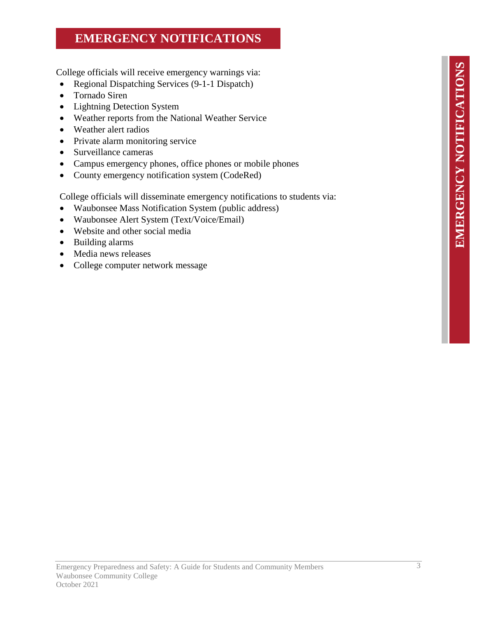# **EMERGENCY NOTIFICATIONS**

College officials will receive emergency warnings via:

- Regional Dispatching Services (9-1-1 Dispatch)
- Tornado Siren
- Lightning Detection System
- Weather reports from the National Weather Service
- Weather alert radios
- Private alarm monitoring service
- Surveillance cameras
- Campus emergency phones, office phones or mobile phones
- County emergency notification system (CodeRed)

College officials will disseminate emergency notifications to students via:

- Waubonsee Mass Notification System (public address)
- Waubonsee Alert System (Text/Voice/Email)
- Website and other social media
- Building alarms
- Media news releases
- College computer network message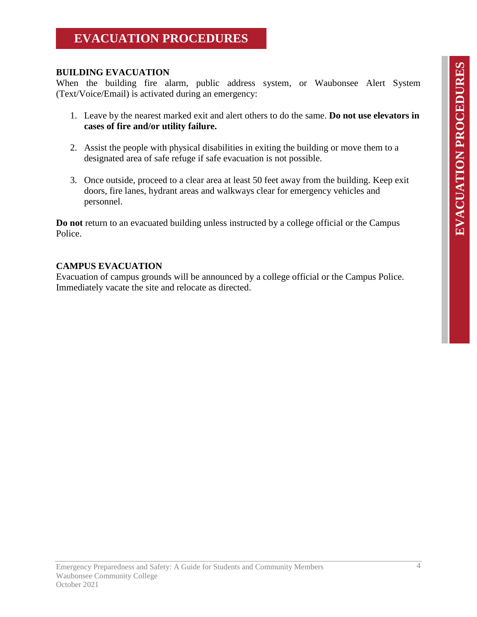## **EVACUATION PROCEDURES**

#### **BUILDING EVACUATION**

When the building fire alarm, public address system, or Waubonsee Alert System (Text/Voice/Email) is activated during an emergency:

- 1. Leave by the nearest marked exit and alert others to do the same. **Do not use elevators in cases of fire and/or utility failure.**
- 2. Assist the people with physical disabilities in exiting the building or move them to a designated area of safe refuge if safe evacuation is not possible.
- 3. Once outside, proceed to a clear area at least 50 feet away from the building. Keep exit doors, fire lanes, hydrant areas and walkways clear for emergency vehicles and personnel.

**Do not** return to an evacuated building unless instructed by a college official or the Campus Police.

#### **CAMPUS EVACUATION**

Evacuation of campus grounds will be announced by a college official or the Campus Police. Immediately vacate the site and relocate as directed.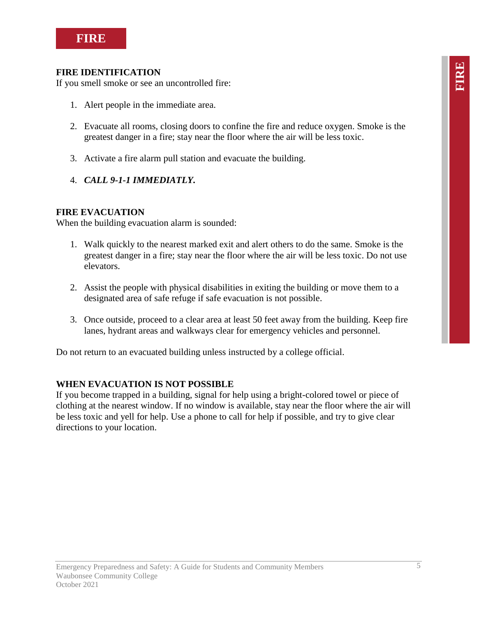

#### **FIRE IDENTIFICATION**

If you smell smoke or see an uncontrolled fire:

- 1. Alert people in the immediate area.
- 2. Evacuate all rooms, closing doors to confine the fire and reduce oxygen. Smoke is the greatest danger in a fire; stay near the floor where the air will be less toxic.
- 3. Activate a fire alarm pull station and evacuate the building.
- 4. *CALL 9-1-1 IMMEDIATLY.*

#### **FIRE EVACUATION**

When the building evacuation alarm is sounded:

- 1. Walk quickly to the nearest marked exit and alert others to do the same. Smoke is the greatest danger in a fire; stay near the floor where the air will be less toxic. Do not use elevators.
- 2. Assist the people with physical disabilities in exiting the building or move them to a designated area of safe refuge if safe evacuation is not possible.
- 3. Once outside, proceed to a clear area at least 50 feet away from the building. Keep fire lanes, hydrant areas and walkways clear for emergency vehicles and personnel.

Do not return to an evacuated building unless instructed by a college official.

#### **WHEN EVACUATION IS NOT POSSIBLE**

If you become trapped in a building, signal for help using a bright-colored towel or piece of clothing at the nearest window. If no window is available, stay near the floor where the air will be less toxic and yell for help. Use a phone to call for help if possible, and try to give clear directions to your location.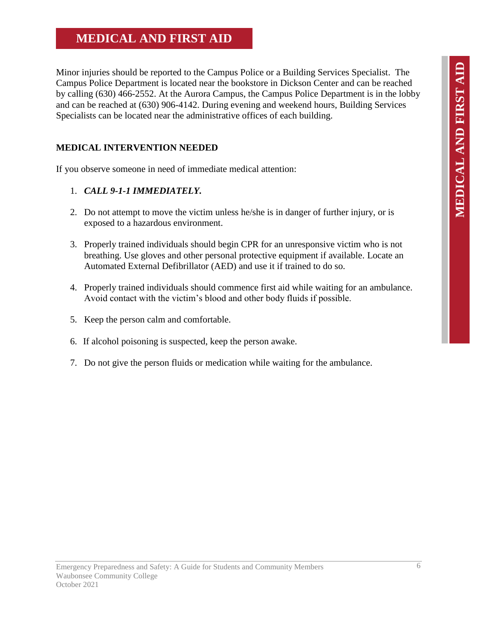## **MEDICAL AND FIRST AID**

Minor injuries should be reported to the Campus Police or a Building Services Specialist. The Campus Police Department is located near the bookstore in Dickson Center and can be reached by calling (630) 466-2552. At the Aurora Campus, the Campus Police Department is in the lobby and can be reached at (630) 906-4142. During evening and weekend hours, Building Services Specialists can be located near the administrative offices of each building.

#### **MEDICAL INTERVENTION NEEDED**

If you observe someone in need of immediate medical attention:

#### 1. *CALL 9-1-1 IMMEDIATELY.*

- 2. Do not attempt to move the victim unless he/she is in danger of further injury, or is exposed to a hazardous environment.
- 3. Properly trained individuals should begin CPR for an unresponsive victim who is not breathing. Use gloves and other personal protective equipment if available. Locate an Automated External Defibrillator (AED) and use it if trained to do so.
- 4. Properly trained individuals should commence first aid while waiting for an ambulance. Avoid contact with the victim's blood and other body fluids if possible.
- 5. Keep the person calm and comfortable.
- 6. If alcohol poisoning is suspected, keep the person awake.
- 7. Do not give the person fluids or medication while waiting for the ambulance.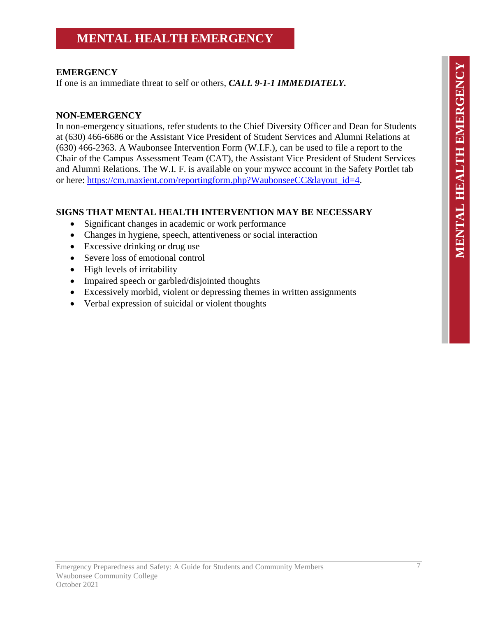## **MENTAL HEALTH EMERGENCY**

#### **EMERGENCY**

If one is an immediate threat to self or others, *CALL 9-1-1 IMMEDIATELY.*

#### **NON-EMERGENCY**

In non-emergency situations, refer students to the Chief Diversity Officer and Dean for Students at (630) 466-6686 or the Assistant Vice President of Student Services and Alumni Relations at (630) 466-2363. A Waubonsee Intervention Form (W.I.F.), can be used to file a report to the Chair of the Campus Assessment Team (CAT), the Assistant Vice President of Student Services and Alumni Relations. The W.I. F. is available on your mywcc account in the Safety Portlet tab or here: [https://cm.maxient.com/reportingform.php?WaubonseeCC&layout\\_id=4.](https://cm.maxient.com/reportingform.php?WaubonseeCC&layout_id=4)

#### **SIGNS THAT MENTAL HEALTH INTERVENTION MAY BE NECESSARY**

- Significant changes in academic or work performance
- Changes in hygiene, speech, attentiveness or social interaction
- Excessive drinking or drug use
- Severe loss of emotional control
- High levels of irritability
- Impaired speech or garbled/disjointed thoughts
- Excessively morbid, violent or depressing themes in written assignments
- Verbal expression of suicidal or violent thoughts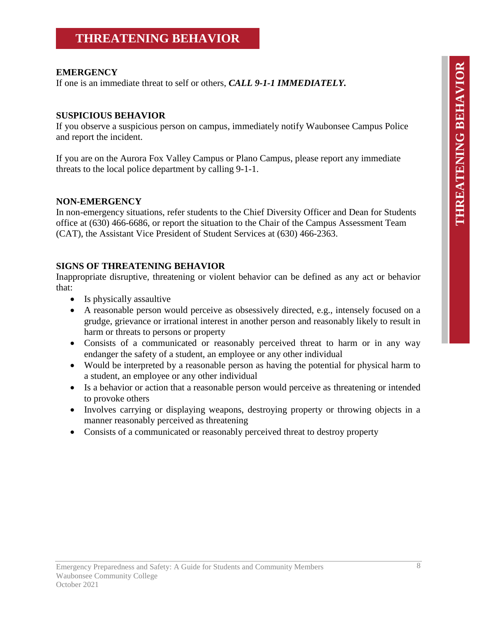### **THREATENING BEHAVIOR**

#### **EMERGENCY**

If one is an immediate threat to self or others, *CALL 9-1-1 IMMEDIATELY.*

#### **SUSPICIOUS BEHAVIOR**

If you observe a suspicious person on campus, immediately notify Waubonsee Campus Police and report the incident.

If you are on the Aurora Fox Valley Campus or Plano Campus, please report any immediate threats to the local police department by calling 9-1-1.

#### **NON-EMERGENCY**

In non-emergency situations, refer students to the Chief Diversity Officer and Dean for Students office at (630) 466-6686, or report the situation to the Chair of the Campus Assessment Team (CAT), the Assistant Vice President of Student Services at (630) 466-2363.

#### **SIGNS OF THREATENING BEHAVIOR**

Inappropriate disruptive, threatening or violent behavior can be defined as any act or behavior that:

- Is physically assaultive
- A reasonable person would perceive as obsessively directed, e.g., intensely focused on a grudge, grievance or irrational interest in another person and reasonably likely to result in harm or threats to persons or property
- Consists of a communicated or reasonably perceived threat to harm or in any way endanger the safety of a student, an employee or any other individual
- Would be interpreted by a reasonable person as having the potential for physical harm to a student, an employee or any other individual
- Is a behavior or action that a reasonable person would perceive as threatening or intended to provoke others
- Involves carrying or displaying weapons, destroying property or throwing objects in a manner reasonably perceived as threatening
- Consists of a communicated or reasonably perceived threat to destroy property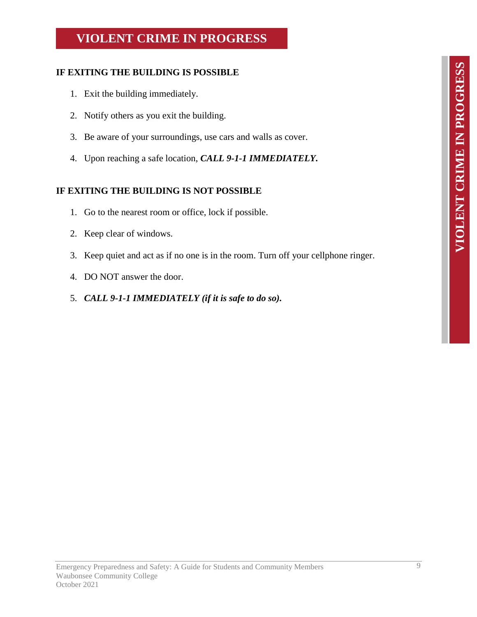# **VIOLENT CRIME IN PROGRESS VIOLENT CRIME IN PROGRESS**

# **VIOLENT CRIME IN PROGRESS**

#### **IF EXITING THE BUILDING IS POSSIBLE**

- 1. Exit the building immediately.
- 2. Notify others as you exit the building.
- 3. Be aware of your surroundings, use cars and walls as cover.
- 4. Upon reaching a safe location, *CALL 9-1-1 IMMEDIATELY.*

#### **IF EXITING THE BUILDING IS NOT POSSIBLE**

- 1. Go to the nearest room or office, lock if possible.
- 2. Keep clear of windows.
- 3. Keep quiet and act as if no one is in the room. Turn off your cellphone ringer.
- 4. DO NOT answer the door.
- 5. *CALL 9-1-1 IMMEDIATELY (if it is safe to do so).*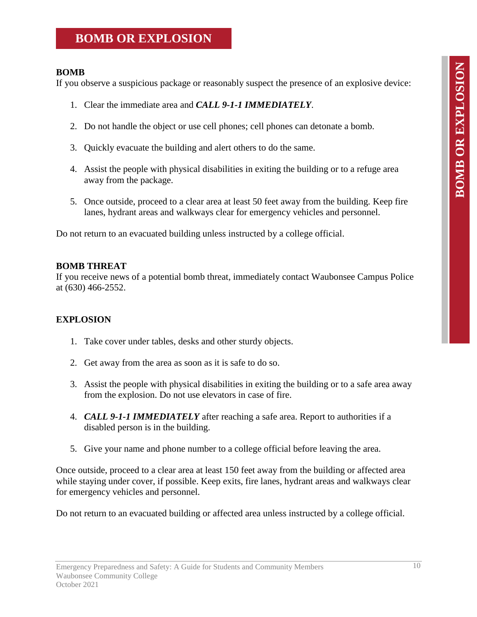## **BOMB OR EXPLOSION**

#### **BOMB**

If you observe a suspicious package or reasonably suspect the presence of an explosive device:

- 1. Clear the immediate area and *CALL 9-1-1 IMMEDIATELY*.
- 2. Do not handle the object or use cell phones; cell phones can detonate a bomb.
- 3. Quickly evacuate the building and alert others to do the same.
- 4. Assist the people with physical disabilities in exiting the building or to a refuge area away from the package.
- 5. Once outside, proceed to a clear area at least 50 feet away from the building. Keep fire lanes, hydrant areas and walkways clear for emergency vehicles and personnel.

Do not return to an evacuated building unless instructed by a college official.

#### **BOMB THREAT**

If you receive news of a potential bomb threat, immediately contact Waubonsee Campus Police at (630) 466-2552.

#### **EXPLOSION**

- 1. Take cover under tables, desks and other sturdy objects.
- 2. Get away from the area as soon as it is safe to do so.
- 3. Assist the people with physical disabilities in exiting the building or to a safe area away from the explosion. Do not use elevators in case of fire.
- 4. *CALL 9-1-1 IMMEDIATELY* after reaching a safe area. Report to authorities if a disabled person is in the building.
- 5. Give your name and phone number to a college official before leaving the area.

Once outside, proceed to a clear area at least 150 feet away from the building or affected area while staying under cover, if possible. Keep exits, fire lanes, hydrant areas and walkways clear for emergency vehicles and personnel.

Do not return to an evacuated building or affected area unless instructed by a college official.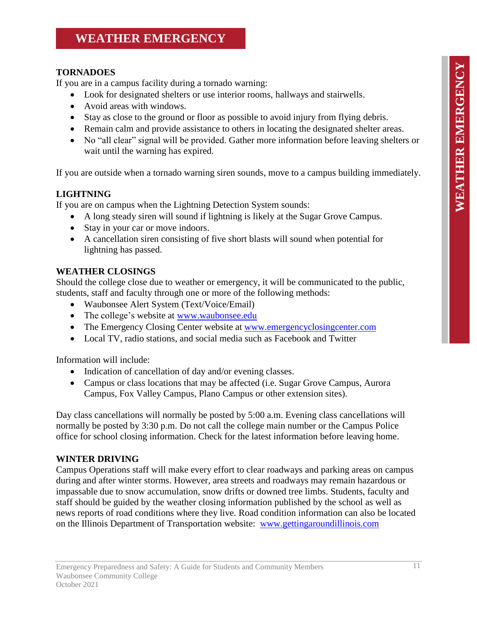## **WEATHER EMERGENCY**

#### **TORNADOES**

If you are in a campus facility during a tornado warning:

- Look for designated shelters or use interior rooms, hallways and stairwells.
- Avoid areas with windows.
- Stay as close to the ground or floor as possible to avoid injury from flying debris.
- Remain calm and provide assistance to others in locating the designated shelter areas.
- No "all clear" signal will be provided. Gather more information before leaving shelters or wait until the warning has expired.

If you are outside when a tornado warning siren sounds, move to a campus building immediately.

#### **LIGHTNING**

If you are on campus when the Lightning Detection System sounds:

- A long steady siren will sound if lightning is likely at the Sugar Grove Campus.
- Stay in your car or move indoors.
- A cancellation siren consisting of five short blasts will sound when potential for lightning has passed.

#### **WEATHER CLOSINGS**

Should the college close due to weather or emergency, it will be communicated to the public, students, staff and faculty through one or more of the following methods:

- Waubonsee Alert System (Text/Voice/Email)
- The college's website at [www.waubonsee.edu](http://www.waubonsee.edu/)
- The Emergency Closing Center website at [www.emergencyclosingcenter.com](http://www.emergencyclosingcenter.com/)
- Local TV, radio stations, and social media such as Facebook and Twitter

Information will include:

- Indication of cancellation of day and/or evening classes.
- Campus or class locations that may be affected (i.e. Sugar Grove Campus, Aurora Campus, Fox Valley Campus, Plano Campus or other extension sites).

Day class cancellations will normally be posted by 5:00 a.m. Evening class cancellations will normally be posted by 3:30 p.m. Do not call the college main number or the Campus Police office for school closing information. Check for the latest information before leaving home.

#### **WINTER DRIVING**

Campus Operations staff will make every effort to clear roadways and parking areas on campus during and after winter storms. However, area streets and roadways may remain hazardous or impassable due to snow accumulation, snow drifts or downed tree limbs. Students, faculty and staff should be guided by the weather closing information published by the school as well as news reports of road conditions where they live. Road condition information can also be located on the Illinois Department of Transportation website: [www.gettingaroundillinois.com](http://www.gettingaroundillinois.com/)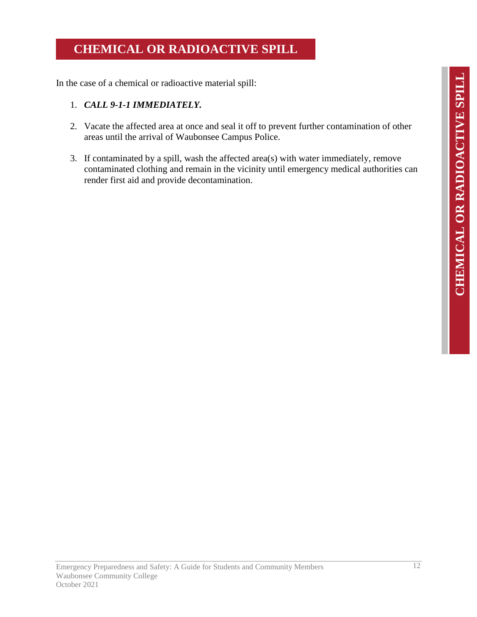# **CHEMICAL OR RADIOACTIVE SPILL**

In the case of a chemical or radioactive material spill:

#### 1. *CALL 9-1-1 IMMEDIATELY.*

- 2. Vacate the affected area at once and seal it off to prevent further contamination of other areas until the arrival of Waubonsee Campus Police.
- 3. If contaminated by a spill, wash the affected area(s) with water immediately, remove contaminated clothing and remain in the vicinity until emergency medical authorities can render first aid and provide decontamination.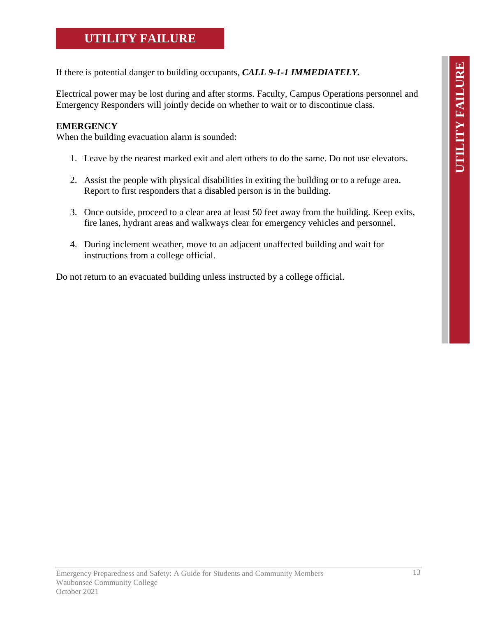## **UTILITY FAILURE**

If there is potential danger to building occupants, *CALL 9-1-1 IMMEDIATELY.*

Electrical power may be lost during and after storms. Faculty, Campus Operations personnel and Emergency Responders will jointly decide on whether to wait or to discontinue class.

#### **EMERGENCY**

When the building evacuation alarm is sounded:

- 1. Leave by the nearest marked exit and alert others to do the same. Do not use elevators.
- 2. Assist the people with physical disabilities in exiting the building or to a refuge area. Report to first responders that a disabled person is in the building.
- 3. Once outside, proceed to a clear area at least 50 feet away from the building. Keep exits, fire lanes, hydrant areas and walkways clear for emergency vehicles and personnel.
- 4. During inclement weather, move to an adjacent unaffected building and wait for instructions from a college official.

Do not return to an evacuated building unless instructed by a college official.